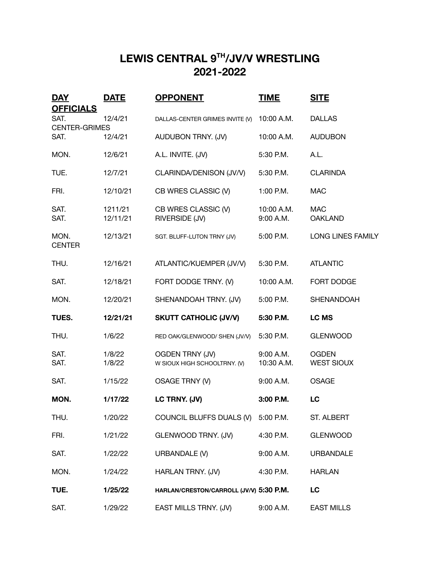## **LEWIS CENTRAL 9TH/JV/V WRESTLING 2021-2022**

| <b>DAY</b><br><b>OFFICIALS</b> | <b>DATE</b>         | <b>OPPONENT</b>                                        | <b>TIME</b>             | <b>SITE</b>                       |
|--------------------------------|---------------------|--------------------------------------------------------|-------------------------|-----------------------------------|
| SAT.<br><b>CENTER-GRIMES</b>   | 12/4/21             | DALLAS-CENTER GRIMES INVITE (V)                        | 10:00 A.M.              | <b>DALLAS</b>                     |
| SAT.                           | 12/4/21             | AUDUBON TRNY. (JV)                                     | 10:00 A.M.              | <b>AUDUBON</b>                    |
| MON.                           | 12/6/21             | A.L. INVITE. (JV)                                      | 5:30 P.M.               | A.L.                              |
| TUE.                           | 12/7/21             | CLARINDA/DENISON (JV/V)                                | 5:30 P.M.               | <b>CLARINDA</b>                   |
| FRI.                           | 12/10/21            | CB WRES CLASSIC (V)                                    | 1:00 P.M.               | <b>MAC</b>                        |
| SAT.<br>SAT.                   | 1211/21<br>12/11/21 | CB WRES CLASSIC (V)<br>RIVERSIDE (JV)                  | 10:00 A.M.<br>9:00 A.M. | <b>MAC</b><br><b>OAKLAND</b>      |
| MON.<br><b>CENTER</b>          | 12/13/21            | SGT. BLUFF-LUTON TRNY (JV)                             | 5:00 P.M.               | LONG LINES FAMILY                 |
| THU.                           | 12/16/21            | ATLANTIC/KUEMPER (JV/V)                                | 5:30 P.M.               | <b>ATLANTIC</b>                   |
| SAT.                           | 12/18/21            | FORT DODGE TRNY. (V)                                   | 10:00 A.M.              | FORT DODGE                        |
| MON.                           | 12/20/21            | SHENANDOAH TRNY. (JV)                                  | 5:00 P.M.               | SHENANDOAH                        |
| TUES.                          | 12/21/21            | <b>SKUTT CATHOLIC (JV/V)</b>                           | 5:30 P.M.               | LC MS                             |
| THU.                           | 1/6/22              | RED OAK/GLENWOOD/ SHEN (JV/V)                          | 5:30 P.M.               | <b>GLENWOOD</b>                   |
| SAT.<br>SAT.                   | 1/8/22<br>1/8/22    | <b>OGDEN TRNY (JV)</b><br>W SIOUX HIGH SCHOOLTRNY. (V) | 9:00 A.M.<br>10:30 A.M. | <b>OGDEN</b><br><b>WEST SIOUX</b> |
| SAT.                           | 1/15/22             | OSAGE TRNY (V)                                         | 9:00 A.M.               | <b>OSAGE</b>                      |
| MON.                           | 1/17/22             | LC TRNY. (JV)                                          | 3:00 P.M.               | LC                                |
| THU.                           | 1/20/22             | COUNCIL BLUFFS DUALS (V) 5:00 P.M.                     |                         | <b>ST. ALBERT</b>                 |
| FRI.                           | 1/21/22             | GLENWOOD TRNY. (JV)                                    | 4:30 P.M.               | <b>GLENWOOD</b>                   |
| SAT.                           | 1/22/22             | URBANDALE (V)                                          | 9:00 A.M.               | <b>URBANDALE</b>                  |
| MON.                           | 1/24/22             | HARLAN TRNY. (JV)                                      | 4:30 P.M.               | <b>HARLAN</b>                     |
| TUE.                           | 1/25/22             | HARLAN/CRESTON/CARROLL (JV/V) 5:30 P.M.                |                         | LC                                |
| SAT.                           | 1/29/22             | EAST MILLS TRNY. (JV)                                  | 9:00 A.M.               | <b>EAST MILLS</b>                 |